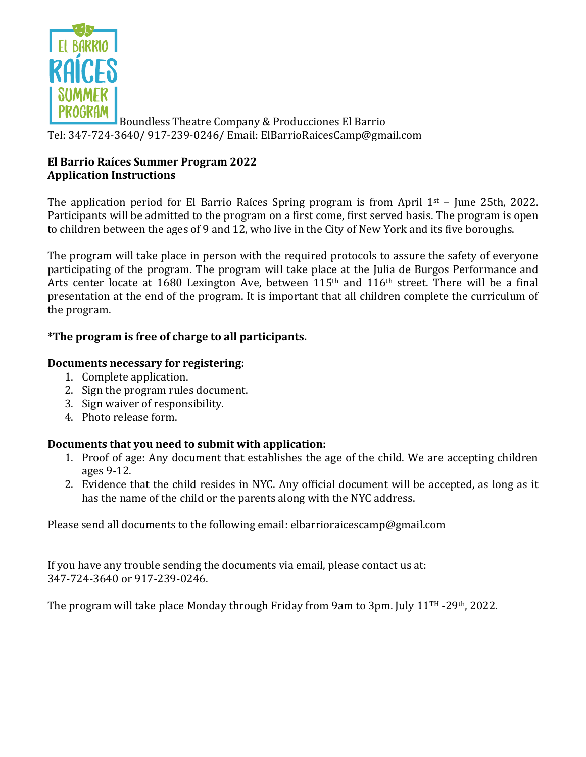

Boundless Theatre Company & Producciones El Barrio Tel: 347-724-3640/ 917-239-0246/ Email: ElBarrioRaicesCamp@gmail.com

## **El Barrio Raíces Summer Program 2022 Application Instructions**

The application period for El Barrio Raíces Spring program is from April  $1<sup>st</sup>$  – June 25th, 2022. Participants will be admitted to the program on a first come, first served basis. The program is open to children between the ages of 9 and 12, who live in the City of New York and its five boroughs.

The program will take place in person with the required protocols to assure the safety of everyone participating of the program. The program will take place at the Julia de Burgos Performance and Arts center locate at 1680 Lexington Ave, between  $115<sup>th</sup>$  and  $116<sup>th</sup>$  street. There will be a final presentation at the end of the program. It is important that all children complete the curriculum of the program.

## \*The program is free of charge to all participants.

## **Documents necessary for registering:**

- 1. Complete application.
- 2. Sign the program rules document.
- 3. Sign waiver of responsibility.
- 4. Photo release form.

## **Documents that you need to submit with application:**

- 1. Proof of age: Any document that establishes the age of the child. We are accepting children ages 9-12.
- 2. Evidence that the child resides in NYC. Any official document will be accepted, as long as it has the name of the child or the parents along with the NYC address.

Please send all documents to the following email: elbarrioraicescamp@gmail.com

If you have any trouble sending the documents via email, please contact us at: 347-724-3640 or 917-239-0246.

The program will take place Monday through Friday from 9am to 3pm. July  $11<sup>TH</sup> - 29<sup>th</sup>$ , 2022.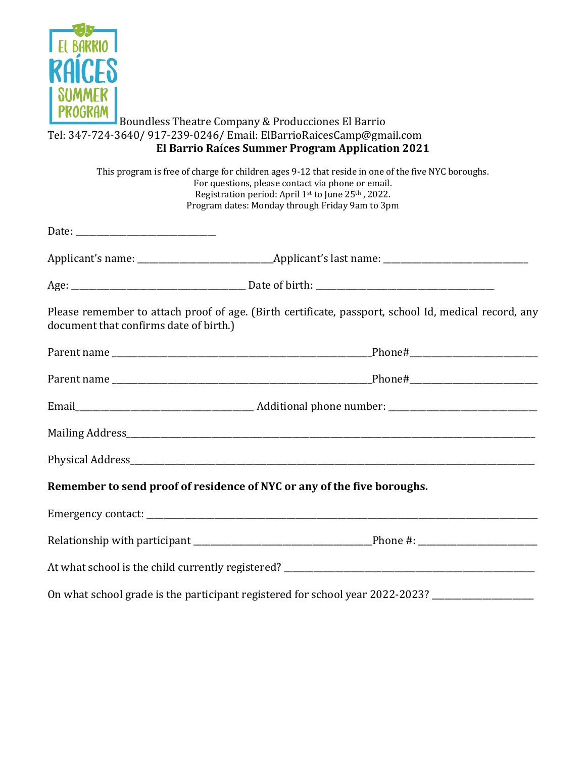

### Boundless Theatre Company & Producciones El Barrio Tel: 347-724-3640/ 917-239-0246/ Email: ElBarrioRaicesCamp@gmail.com **El Barrio Raíces Summer Program Application 2021**

|                                        | This program is free of charge for children ages 9-12 that reside in one of the five NYC boroughs.<br>For questions, please contact via phone or email.<br>Registration period: April 1st to June 25th, 2022.<br>Program dates: Monday through Friday 9am to 3pm |  |  |  |
|----------------------------------------|------------------------------------------------------------------------------------------------------------------------------------------------------------------------------------------------------------------------------------------------------------------|--|--|--|
|                                        |                                                                                                                                                                                                                                                                  |  |  |  |
|                                        |                                                                                                                                                                                                                                                                  |  |  |  |
|                                        |                                                                                                                                                                                                                                                                  |  |  |  |
| document that confirms date of birth.) | Please remember to attach proof of age. (Birth certificate, passport, school Id, medical record, any                                                                                                                                                             |  |  |  |
|                                        |                                                                                                                                                                                                                                                                  |  |  |  |
|                                        |                                                                                                                                                                                                                                                                  |  |  |  |
|                                        |                                                                                                                                                                                                                                                                  |  |  |  |
|                                        |                                                                                                                                                                                                                                                                  |  |  |  |
|                                        |                                                                                                                                                                                                                                                                  |  |  |  |
|                                        | Remember to send proof of residence of NYC or any of the five boroughs.                                                                                                                                                                                          |  |  |  |
|                                        |                                                                                                                                                                                                                                                                  |  |  |  |
|                                        |                                                                                                                                                                                                                                                                  |  |  |  |
|                                        |                                                                                                                                                                                                                                                                  |  |  |  |
|                                        | On what school grade is the participant registered for school year 2022-2023? _____________________                                                                                                                                                              |  |  |  |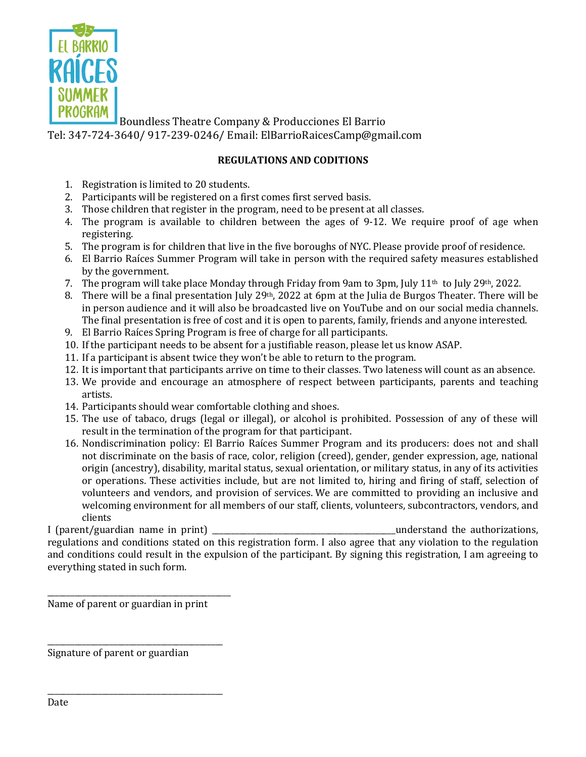

Boundless Theatre Company & Producciones El Barrio Tel: 347-724-3640/ 917-239-0246/ Email: ElBarrioRaicesCamp@gmail.com

### **REGULATIONS AND CODITIONS**

- 1. Registration is limited to 20 students.
- 2. Participants will be registered on a first comes first served basis.
- 3. Those children that register in the program, need to be present at all classes.
- 4. The program is available to children between the ages of  $9-12$ . We require proof of age when registering.
- 5. The program is for children that live in the five boroughs of NYC. Please provide proof of residence.
- 6. El Barrio Raíces Summer Program will take in person with the required safety measures established by the government.
- 7. The program will take place Monday through Friday from 9am to 3pm, July 11<sup>th</sup> to July 29<sup>th</sup>, 2022.
- 8. There will be a final presentation July 29<sup>th</sup>, 2022 at 6pm at the Julia de Burgos Theater. There will be in person audience and it will also be broadcasted live on YouTube and on our social media channels. The final presentation is free of cost and it is open to parents, family, friends and anyone interested.
- 9. El Barrio Raíces Spring Program is free of charge for all participants.
- 10. If the participant needs to be absent for a justifiable reason, please let us know ASAP.
- 11. If a participant is absent twice they won't be able to return to the program.
- 12. It is important that participants arrive on time to their classes. Two lateness will count as an absence.
- 13. We provide and encourage an atmosphere of respect between participants, parents and teaching artists.
- 14. Participants should wear comfortable clothing and shoes.
- 15. The use of tabaco, drugs (legal or illegal), or alcohol is prohibited. Possession of any of these will result in the termination of the program for that participant.
- 16. Nondiscrimination policy: El Barrio Raíces Summer Program and its producers: does not and shall not discriminate on the basis of race, color, religion (creed), gender, gender expression, age, national origin (ancestry), disability, marital status, sexual orientation, or military status, in any of its activities or operations. These activities include, but are not limited to, hiring and firing of staff, selection of volunteers and vendors, and provision of services. We are committed to providing an inclusive and welcoming environment for all members of our staff, clients, volunteers, subcontractors, vendors, and clients

I (parent/guardian name in print) \_\_\_\_\_\_\_\_\_\_\_\_\_\_\_\_\_\_\_\_\_\_\_\_\_\_\_\_\_\_\_\_\_\_\_\_\_\_\_\_\_\_\_\_\_\_\_understand the authorizations, regulations and conditions stated on this registration form. I also agree that any violation to the regulation and conditions could result in the expulsion of the participant. By signing this registration, I am agreeing to everything stated in such form.

Name of parent or guardian in print

\_\_\_\_\_\_\_\_\_\_\_\_\_\_\_\_\_\_\_\_\_\_\_\_\_\_\_\_\_\_\_\_\_\_\_\_\_\_\_\_\_\_\_\_\_\_\_

\_\_\_\_\_\_\_\_\_\_\_\_\_\_\_\_\_\_\_\_\_\_\_\_\_\_\_\_\_\_\_\_\_\_\_\_\_\_\_\_\_\_\_\_\_

\_\_\_\_\_\_\_\_\_\_\_\_\_\_\_\_\_\_\_\_\_\_\_\_\_\_\_\_\_\_\_\_\_\_\_\_\_\_\_\_\_\_\_\_\_

Signature of parent or guardian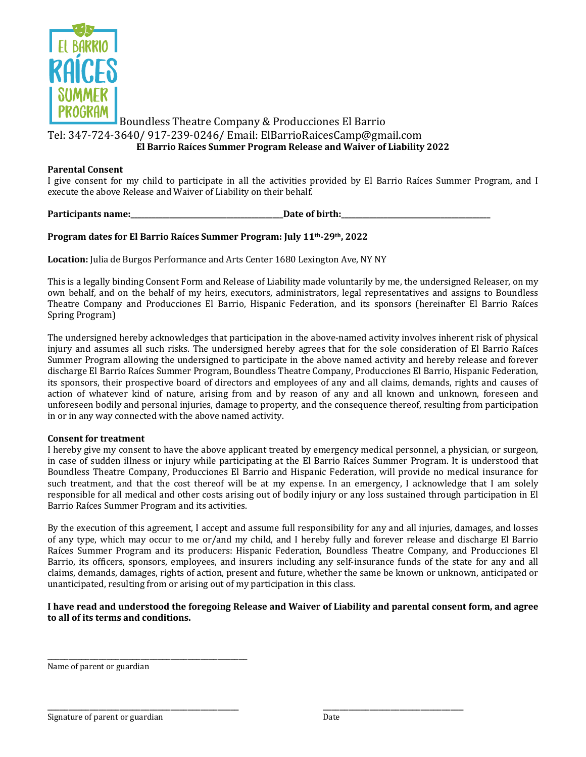

### Boundless Theatre Company & Producciones El Barrio Tel: 347-724-3640/ 917-239-0246/ Email: ElBarrioRaicesCamp@gmail.com **El Barrio Raíces Summer Program Release and Waiver of Liability 2022**

#### **Parental Consent**

I give consent for my child to participate in all the activities provided by El Barrio Raíces Summer Program, and I execute the above Release and Waiver of Liability on their behalf.

**Participants name:** The same of birth:

#### Program dates for El Barrio Raíces Summer Program: July 11<sup>th</sup>-29<sup>th</sup>, 2022

**Location:** Julia de Burgos Performance and Arts Center 1680 Lexington Ave, NY NY

This is a legally binding Consent Form and Release of Liability made voluntarily by me, the undersigned Releaser, on my own behalf, and on the behalf of my heirs, executors, administrators, legal representatives and assigns to Boundless Theatre Company and Producciones El Barrio, Hispanic Federation, and its sponsors (hereinafter El Barrio Raíces Spring Program)

The undersigned hereby acknowledges that participation in the above-named activity involves inherent risk of physical injury and assumes all such risks. The undersigned hereby agrees that for the sole consideration of El Barrio Raíces Summer Program allowing the undersigned to participate in the above named activity and hereby release and forever discharge El Barrio Raíces Summer Program, Boundless Theatre Company, Producciones El Barrio, Hispanic Federation, its sponsors, their prospective board of directors and employees of any and all claims, demands, rights and causes of action of whatever kind of nature, arising from and by reason of any and all known and unknown, foreseen and unforeseen bodily and personal injuries, damage to property, and the consequence thereof, resulting from participation in or in any way connected with the above named activity.

#### **Consent for treatment**

I hereby give my consent to have the above applicant treated by emergency medical personnel, a physician, or surgeon, in case of sudden illness or injury while participating at the El Barrio Raíces Summer Program. It is understood that Boundless Theatre Company, Producciones El Barrio and Hispanic Federation, will provide no medical insurance for such treatment, and that the cost thereof will be at my expense. In an emergency, I acknowledge that I am solely responsible for all medical and other costs arising out of bodily injury or any loss sustained through participation in El Barrio Raíces Summer Program and its activities.

By the execution of this agreement, I accept and assume full responsibility for any and all injuries, damages, and losses of any type, which may occur to me or/and my child, and I hereby fully and forever release and discharge El Barrio Raíces Summer Program and its producers: Hispanic Federation, Boundless Theatre Company, and Producciones El Barrio, its officers, sponsors, employees, and insurers including any self-insurance funds of the state for any and all claims, demands, damages, rights of action, present and future, whether the same be known or unknown, anticipated or unanticipated, resulting from or arising out of my participation in this class.

#### I have read and understood the foregoing Release and Waiver of Liability and parental consent form, and agree **to all of its terms and conditions.**

\_\_\_\_\_\_\_\_\_\_\_\_\_\_\_\_\_\_\_\_\_\_\_\_\_\_\_\_\_\_\_\_\_\_\_\_\_\_\_\_\_\_\_\_\_ \_\_\_\_\_\_\_\_\_\_\_\_\_\_\_\_\_\_\_\_\_\_\_\_\_\_\_\_\_\_\_\_\_

Name of parent or guardian

\_\_\_\_\_\_\_\_\_\_\_\_\_\_\_\_\_\_\_\_\_\_\_\_\_\_\_\_\_\_\_\_\_\_\_\_\_\_\_\_\_\_\_\_\_\_\_

Signature of parent or guardian Date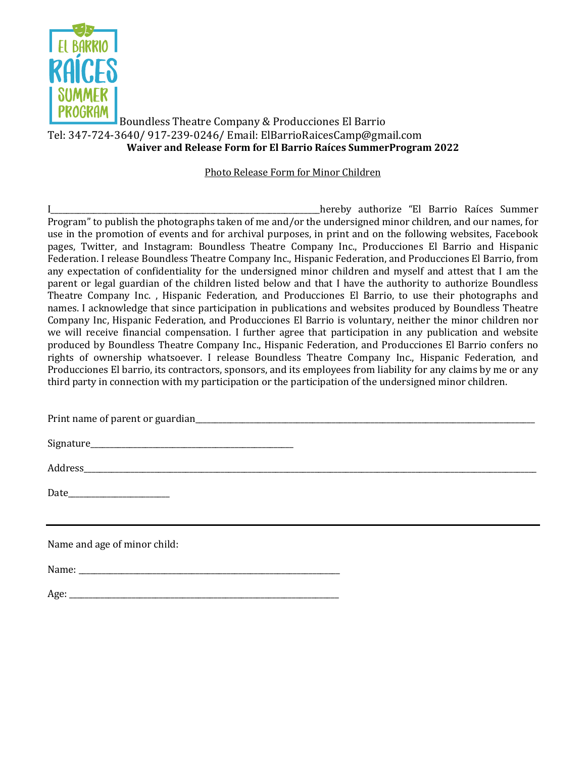

### Boundless Theatre Company & Producciones El Barrio Tel: 347-724-3640/ 917-239-0246/ Email: ElBarrioRaicesCamp@gmail.com **Waiver and Release Form for El Barrio Raíces SummerProgram 2022**

#### Photo Release Form for Minor Children

I\_\_\_\_\_\_\_\_\_\_\_\_\_\_\_\_\_\_\_\_\_\_\_\_\_\_\_\_\_\_\_\_\_\_\_\_\_\_\_\_\_\_\_\_\_\_\_\_\_\_\_\_\_\_\_\_\_\_\_\_\_\_\_\_\_\_\_\_\_hereby authorize "El Barrio Raíces Summer Program" to publish the photographs taken of me and/or the undersigned minor children, and our names, for use in the promotion of events and for archival purposes, in print and on the following websites, Facebook pages, Twitter, and Instagram: Boundless Theatre Company Inc., Producciones El Barrio and Hispanic Federation. I release Boundless Theatre Company Inc., Hispanic Federation, and Producciones El Barrio, from any expectation of confidentiality for the undersigned minor children and myself and attest that I am the parent or legal guardian of the children listed below and that I have the authority to authorize Boundless Theatre Company Inc. , Hispanic Federation, and Producciones El Barrio, to use their photographs and names. I acknowledge that since participation in publications and websites produced by Boundless Theatre Company Inc, Hispanic Federation, and Producciones El Barrio is voluntary, neither the minor children nor we will receive financial compensation. I further agree that participation in any publication and website produced by Boundless Theatre Company Inc., Hispanic Federation, and Producciones El Barrio confers no rights of ownership whatsoever. I release Boundless Theatre Company Inc., Hispanic Federation, and Producciones El barrio, its contractors, sponsors, and its employees from liability for any claims by me or any third party in connection with my participation or the participation of the undersigned minor children.

Print name of parent or guardian\_\_\_\_\_\_\_\_\_\_\_\_\_\_\_\_\_\_\_\_\_\_\_\_\_\_\_\_\_\_\_\_\_\_\_\_\_\_\_\_\_\_\_\_\_\_\_\_\_\_\_\_\_\_\_\_\_\_\_\_\_\_\_\_\_\_\_\_\_\_\_\_\_\_\_\_\_\_\_\_\_\_\_\_\_\_\_

Address\_\_\_\_\_\_\_\_\_\_\_\_\_\_\_\_\_\_\_\_\_\_\_\_\_\_\_\_\_\_\_\_\_\_\_\_\_\_\_\_\_\_\_\_\_\_\_\_\_\_\_\_\_\_\_\_\_\_\_\_\_\_\_\_\_\_\_\_\_\_\_\_\_\_\_\_\_\_\_\_\_\_\_\_\_\_\_\_\_\_\_\_\_\_\_\_\_\_\_\_\_\_\_\_\_\_\_\_\_\_\_\_\_\_\_\_

Date and the set of  $\sim$ 

Name and age of minor child:

Name:

Age: \_\_\_\_\_\_\_\_\_\_\_\_\_\_\_\_\_\_\_\_\_\_\_\_\_\_\_\_\_\_\_\_\_\_\_\_\_\_\_\_\_\_\_\_\_\_\_\_\_\_\_\_\_\_\_\_\_\_\_\_\_\_\_\_\_\_\_\_\_